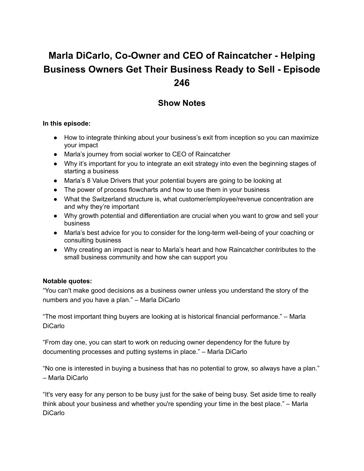# **Marla DiCarlo, Co-Owner and CEO of Raincatcher - Helping Business Owners Get Their Business Ready to Sell - Episode 246**

# **Show Notes**

#### **In this episode:**

- How to integrate thinking about your business's exit from inception so you can maximize your impact
- Marla's journey from social worker to CEO of Raincatcher
- Why it's important for you to integrate an exit strategy into even the beginning stages of starting a business
- Marla's 8 Value Drivers that your potential buyers are going to be looking at
- The power of process flowcharts and how to use them in your business
- What the Switzerland structure is, what customer/employee/revenue concentration are and why they're important
- Why growth potential and differentiation are crucial when you want to grow and sell your business
- Marla's best advice for you to consider for the long-term well-being of your coaching or consulting business
- Why creating an impact is near to Marla's heart and how Raincatcher contributes to the small business community and how she can support you

### **Notable quotes:**

"You can't make good decisions as a business owner unless you understand the story of the numbers and you have a plan." – Marla DiCarlo

"The most important thing buyers are looking at is historical financial performance." – Marla DiCarlo

"From day one, you can start to work on reducing owner dependency for the future by documenting processes and putting systems in place." – Marla DiCarlo

"No one is interested in buying a business that has no potential to grow, so always have a plan." – Marla DiCarlo

"It's very easy for any person to be busy just for the sake of being busy. Set aside time to really think about your business and whether you're spending your time in the best place." – Marla DiCarlo